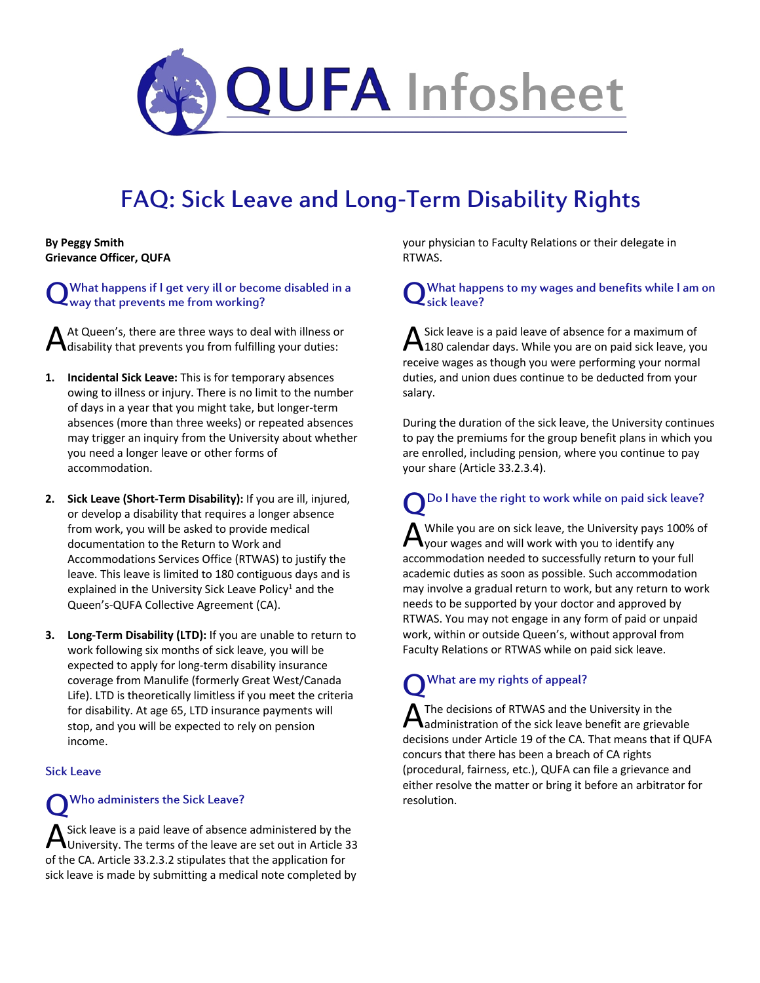

# FAQ: Sick Leave and Long-Term Disability Rights

**By Peggy Smith Grievance Officer, QUFA**

What happens if I get very ill or become disabled in a way that prevents me from working? Q

At Queen's, there are three ways to deal with illness or disability that prevents you from fulfilling your duties: A

- **1. Incidental Sick Leave:** This is for temporary absences owing to illness or injury. There is no limit to the number of days in a year that you might take, but longer-term absences (more than three weeks) or repeated absences may trigger an inquiry from the University about whether you need a longer leave or other forms of accommodation.
- **2. Sick Leave (Short-Term Disability):** If you are ill, injured, or develop a disability that requires a longer absence from work, you will be asked to provide medical documentation to the Return to Work and Accommodations Services Office (RTWAS) to justify the leave. This leave is limited to 180 contiguous days and is explained in the University Sick Leave Policy<sup>1</sup> and the Queen's-QUFA Collective Agreement (CA).
- **3. Long-Term Disability (LTD):** If you are unable to return to work following six months of sick leave, you will be expected to apply for long-term disability insurance coverage from Manulife (formerly Great West/Canada Life). LTD is theoretically limitless if you meet the criteria for disability. At age 65, LTD insurance payments will stop, and you will be expected to rely on pension income.

### Sick Leave

Who administers the Sick Leave? Q

Sick leave is a paid leave of absence administered by the University. The terms of the leave are set out in Article 33 A Sick leave is a paid leave of absence administered by the University. The terms of the leave are set out in Article 3<br>of the CA. Article 33.2.3.2 stipulates that the application for sick leave is made by submitting a medical note completed by

your physician to Faculty Relations or their delegate in RTWAS.

What happens to my wages and benefits while I am on sick leave? Q

Sick leave is a paid leave of absence for a maximum of  $\mathbf{A}$  Sick leave is a paid leave of absence for a maximum of 180 calendar days. While you are on paid sick leave, you receive wages as though you were performing your normal duties, and union dues continue to be deducted from your salary.

During the duration of the sick leave, the University continues to pay the premiums for the group benefit plans in which you are enrolled, including pension, where you continue to pay your share (Article 33.2.3.4).

Do I have the right to work while on paid sick leave? While you are on sick leave, the University pays 100% of  $\bigwedge$  While you are on sick leave, the University pays 10<br>
Your wages and will work with you to identify any accommodation needed to successfully return to your full academic duties as soon as possible. Such accommodation may involve a gradual return to work, but any return to work needs to be supported by your doctor and approved by RTWAS. You may not engage in any form of paid or unpaid work, within or outside Queen's, without approval from Faculty Relations or RTWAS while on paid sick leave. Q

# What are my rights of appeal? Q

The decisions of RTWAS and the University in the A The decisions of RTWAS and the University in the<br>Aadministration of the sick leave benefit are grievable decisions under Article 19 of the CA. That means that if QUFA concurs that there has been a breach of CA rights (procedural, fairness, etc.), QUFA can file a grievance and either resolve the matter or bring it before an arbitrator for resolution.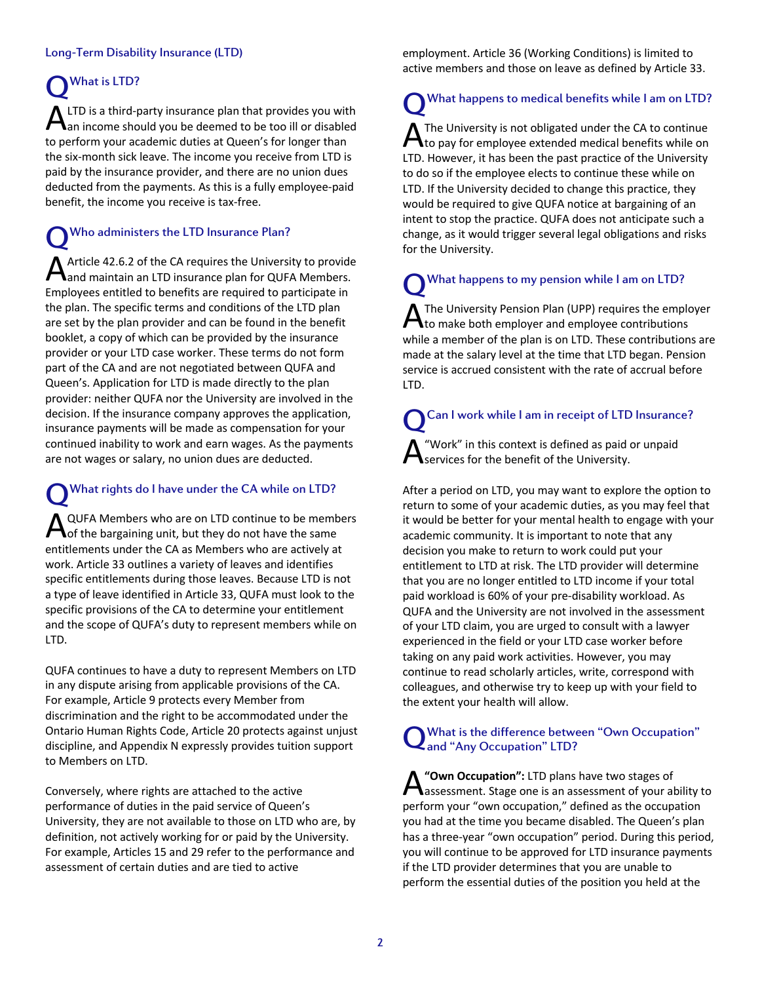## Long-Term Disability Insurance (LTD)

# What is LTD? Q

LTD is a third-party insurance plan that provides you with  $\mathbf{A}$  LTD is a third-party insurance plan that provides you with  $\mathbf{A}$  an income should you be deemed to be too ill or disabled to perform your academic duties at Queen's for longer than the six-month sick leave. The income you receive from LTD is paid by the insurance provider, and there are no union dues deducted from the payments. As this is a fully employee-paid benefit, the income you receive is tax-free.

# Who administers the LTD Insurance Plan? Q

Article 42.6.2 of the CA requires the University to provide and maintain an LTD insurance plan for QUFA Members. Employees entitled to benefits are required to participate in the plan. The specific terms and conditions of the LTD plan are set by the plan provider and can be found in the benefit booklet, a copy of which can be provided by the insurance provider or your LTD case worker. These terms do not form part of the CA and are not negotiated between QUFA and Queen's. Application for LTD is made directly to the plan provider: neither QUFA nor the University are involved in the decision. If the insurance company approves the application, insurance payments will be made as compensation for your continued inability to work and earn wages. As the payments are not wages or salary, no union dues are deducted. A

# What rights do I have under the CA while on LTD? QUFA Members who are on LTD continue to be members A QUFA Members who are on LTD continue to be member of the bargaining unit, but they do not have the same entitlements under the CA as Members who are actively at work. Article 33 outlines a variety of leaves and identifies specific entitlements during those leaves. Because LTD is not a type of leave identified in Article 33, QUFA must look to the specific provisions of the CA to determine your entitlement and the scope of QUFA's duty to represent members while on LTD. Q

QUFA continues to have a duty to represent Members on LTD in any dispute arising from applicable provisions of the CA. For example, Article 9 protects every Member from discrimination and the right to be accommodated under the Ontario Human Rights Code, Article 20 protects against unjust discipline, and Appendix N expressly provides tuition support to Members on LTD.

Conversely, where rights are attached to the active performance of duties in the paid service of Queen's University, they are not available to those on LTD who are, by definition, not actively working for or paid by the University. For example, Articles 15 and 29 refer to the performance and assessment of certain duties and are tied to active

employment. Article 36 (Working Conditions) is limited to active members and those on leave as defined by Article 33.

# What happens to medical benefits while I am on LTD? The University is not obligated under the CA to continue  $\bigwedge$  The University is not obligated under the CA to continue<br>to pay for employee extended medical benefits while on LTD. However, it has been the past practice of the University to do so if the employee elects to continue these while on LTD. If the University decided to change this practice, they would be required to give QUFA notice at bargaining of an intent to stop the practice. QUFA does not anticipate such a change, as it would trigger several legal obligations and risks Q

What happens to my pension while I am on LTD? The University Pension Plan (UPP) requires the employer A The University Pension Plan (UPP) requires the emplot to make both employer and employee contributions while a member of the plan is on LTD. These contributions are made at the salary level at the time that LTD began. Pension service is accrued consistent with the rate of accrual before LTD. Q

for the University.

# Can I work while I am in receipt of LTD Insurance? "Work" in this context is defined as paid or unpaid Q A

services for the benefit of the University.

After a period on LTD, you may want to explore the option to return to some of your academic duties, as you may feel that it would be better for your mental health to engage with your academic community. It is important to note that any decision you make to return to work could put your entitlement to LTD at risk. The LTD provider will determine that you are no longer entitled to LTD income if your total paid workload is 60% of your pre-disability workload. As QUFA and the University are not involved in the assessment of your LTD claim, you are urged to consult with a lawyer experienced in the field or your LTD case worker before taking on any paid work activities. However, you may continue to read scholarly articles, write, correspond with colleagues, and otherwise try to keep up with your field to the extent your health will allow.

#### What is the difference between "Own Occupation" and "Any Occupation" LTD? Q

**"Own Occupation":** LTD plans have two stages of **A** "Own Occupation": LTD plans have two stages of<br>assessment. Stage one is an assessment of your ability to perform your "own occupation," defined as the occupation you had at the time you became disabled. The Queen's plan has a three-year "own occupation" period. During this period, you will continue to be approved for LTD insurance payments if the LTD provider determines that you are unable to perform the essential duties of the position you held at the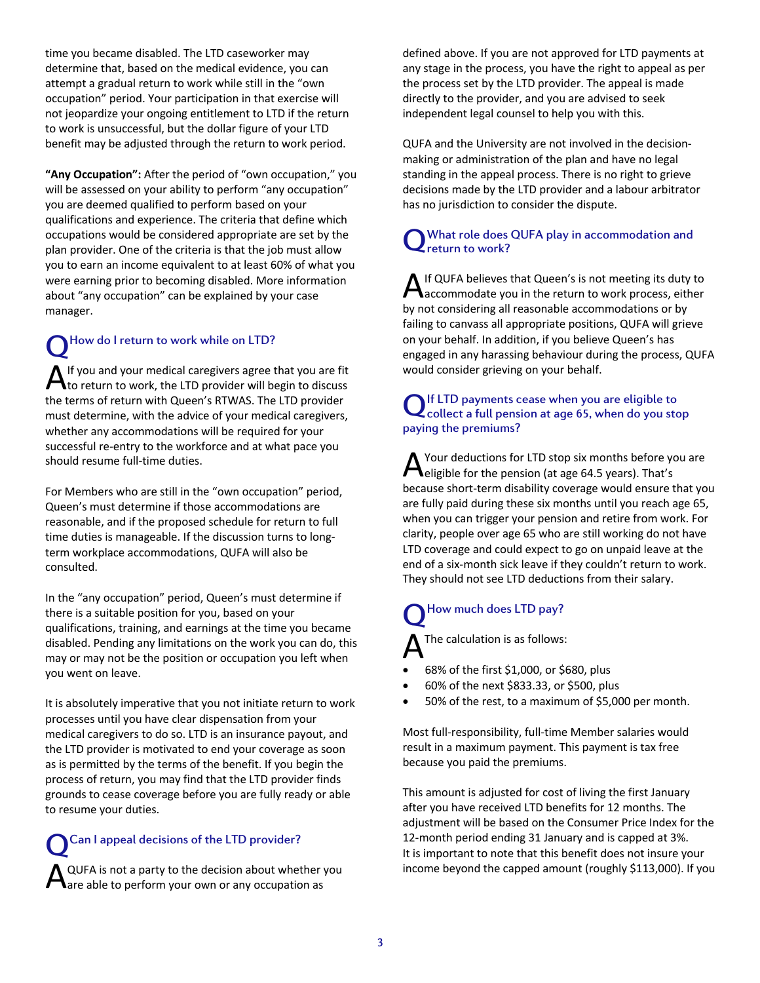time you became disabled. The LTD caseworker may determine that, based on the medical evidence, you can attempt a gradual return to work while still in the "own occupation" period. Your participation in that exercise will not jeopardize your ongoing entitlement to LTD if the return to work is unsuccessful, but the dollar figure of your LTD benefit may be adjusted through the return to work period.

**"Any Occupation":** After the period of "own occupation," you will be assessed on your ability to perform "any occupation" you are deemed qualified to perform based on your qualifications and experience. The criteria that define which occupations would be considered appropriate are set by the plan provider. One of the criteria is that the job must allow you to earn an income equivalent to at least 60% of what you were earning prior to becoming disabled. More information about "any occupation" can be explained by your case manager.

# How do I return to work while on LTD? Q

If you and your medical caregivers agree that you are fit A If you and your medical caregivers agree that you are fit<br>A to return to work, the LTD provider will begin to discuss the terms of return with Queen's RTWAS. The LTD provider must determine, with the advice of your medical caregivers, whether any accommodations will be required for your successful re-entry to the workforce and at what pace you should resume full-time duties.

For Members who are still in the "own occupation" period, Queen's must determine if those accommodations are reasonable, and if the proposed schedule for return to full time duties is manageable. If the discussion turns to longterm workplace accommodations, QUFA will also be consulted.

In the "any occupation" period, Queen's must determine if there is a suitable position for you, based on your qualifications, training, and earnings at the time you became disabled. Pending any limitations on the work you can do, this may or may not be the position or occupation you left when you went on leave.

It is absolutely imperative that you not initiate return to work processes until you have clear dispensation from your medical caregivers to do so. LTD is an insurance payout, and the LTD provider is motivated to end your coverage as soon as is permitted by the terms of the benefit. If you begin the process of return, you may find that the LTD provider finds grounds to cease coverage before you are fully ready or able to resume your duties.

# Can I appeal decisions of the LTD provider? Q

QUFA is not a party to the decision about whether you are able to perform your own or any occupation as A

defined above. If you are not approved for LTD payments at any stage in the process, you have the right to appeal as per the process set by the LTD provider. The appeal is made directly to the provider, and you are advised to seek independent legal counsel to help you with this.

QUFA and the University are not involved in the decisionmaking or administration of the plan and have no legal standing in the appeal process. There is no right to grieve decisions made by the LTD provider and a labour arbitrator has no jurisdiction to consider the dispute.

#### What role does QUFA play in accommodation and return to work? Q

If QUFA believes that Queen's is not meeting its duty to A If QUFA believes that Queen's is not meeting its duty to<br>accommodate you in the return to work process, either by not considering all reasonable accommodations or by failing to canvass all appropriate positions, QUFA will grieve on your behalf. In addition, if you believe Queen's has engaged in any harassing behaviour during the process, QUFA would consider grieving on your behalf.

# If LTD payments cease when you are eligible to Q If LTD payments cease when you are eligible to<br>Collect a full pension at age 65, when do you stop paying the premiums?

Your deductions for LTD stop six months before you are **A** Your deductions for LTD stop six months before your deligible for the pension (at age 64.5 years). That's because short-term disability coverage would ensure that you are fully paid during these six months until you reach age 65, when you can trigger your pension and retire from work. For clarity, people over age 65 who are still working do not have LTD coverage and could expect to go on unpaid leave at the end of a six-month sick leave if they couldn't return to work. They should not see LTD deductions from their salary.

# How much does LTD pay? Q

The calculation is as follows: A

- 68% of the first \$1,000, or \$680, plus
- 60% of the next \$833.33, or \$500, plus
- 50% of the rest, to a maximum of \$5,000 per month.

Most full-responsibility, full-time Member salaries would result in a maximum payment. This payment is tax free because you paid the premiums.

This amount is adjusted for cost of living the first January after you have received LTD benefits for 12 months. The adjustment will be based on the Consumer Price Index for the 12-month period ending 31 January and is capped at 3%. It is important to note that this benefit does not insure your income beyond the capped amount (roughly \$113,000). If you